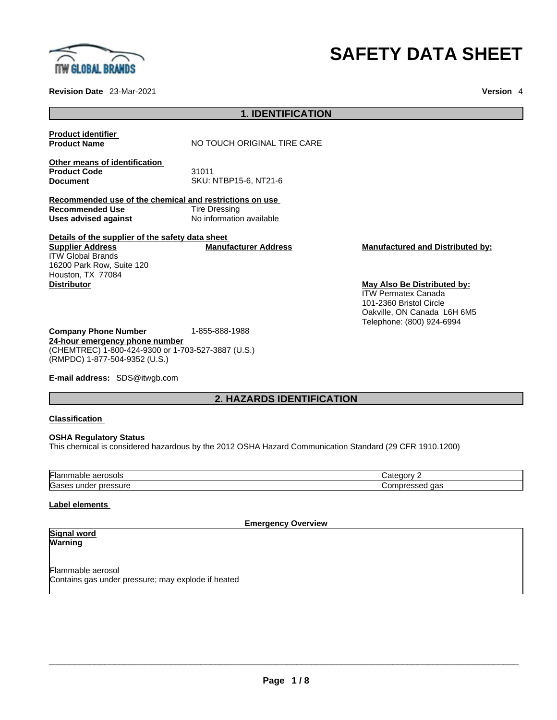

#### **Revision Date** 23-Mar-2021 **Version** 4

# **SAFETY DATA SHEET**

|                                                                                                           | I. IULN I II IVA I IVN                    |                                                                                                                   |
|-----------------------------------------------------------------------------------------------------------|-------------------------------------------|-------------------------------------------------------------------------------------------------------------------|
| <b>Product identifier</b><br><b>Product Name</b>                                                          | NO TOUCH ORIGINAL TIRE CARE               |                                                                                                                   |
| Other means of identification<br><b>Product Code</b><br><b>Document</b>                                   | 31011<br>SKU: NTBP15-6, NT21-6            |                                                                                                                   |
| Recommended use of the chemical and restrictions on use<br><b>Recommended Use</b><br>Uses advised against | Tire Dressing<br>No information available |                                                                                                                   |
| Details of the supplier of the safety data sheet<br><b>Supplier Address</b><br><b>ITW Global Brands</b>   | <b>Manufacturer Address</b>               | <b>Manufactured and Distributed by:</b>                                                                           |
| 16200 Park Row, Suite 120<br>Houston, TX 77084<br><b>Distributor</b>                                      |                                           | May Also Be Distributed by:                                                                                       |
|                                                                                                           |                                           | <b>ITW Permatex Canada</b><br>101-2360 Bristol Circle<br>Oakville, ON Canada L6H 6M5<br>Telephone: (800) 924-6994 |

**Company Phone Number** 1-855-888-1988 **24-hour emergency phone number** (CHEMTREC) 1-800-424-9300 or 1-703-527-3887 (U.S.) (RMPDC) 1-877-504-9352 (U.S.)

**E-mail address:** SDS@itwgb.com

# **2. HAZARDS IDENTIFICATION**

**1. IDENTIFICATION** 

#### **Classification**

#### **OSHA Regulatory Status**

This chemical is considered hazardous by the 2012 OSHA Hazard Communication Standard (29 CFR 1910.1200)

| <b>IFlar</b><br>aerosols<br>iable                                 | ----                   |
|-------------------------------------------------------------------|------------------------|
| <b>IGas</b><br>$\mathbf{r}$<br>$\triangle$ ce<br>under<br>יונו הו | ane<br>1DF<br>ua:<br>. |

### **Label elements**

**Emergency Overview** 

#### **Signal word Warning**

Flammable aerosol Contains gas under pressure; may explode if heated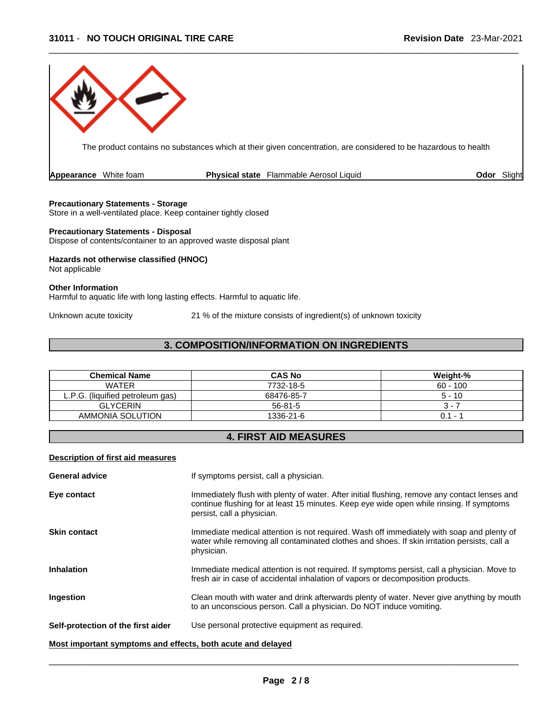

The product contains no substances which at their given concentration, are considered to be hazardous to health

| <b>Appearance</b> White foam |  |  | <b>Physical state</b> Flammable Aerosol Liquid | Odor |  | Slight |  |
|------------------------------|--|--|------------------------------------------------|------|--|--------|--|
|------------------------------|--|--|------------------------------------------------|------|--|--------|--|

#### **Precautionary Statements - Storage**

Store in a well-ventilated place. Keep container tightly closed

#### **Precautionary Statements - Disposal**

Dispose of contents/container to an approved waste disposal plant

# **Hazards not otherwise classified (HNOC)**

Not applicable

Other Information<br>Harmful to aquatic life with long lasting effects. Harmful to aquatic life.

Unknown acute toxicity 21 % of the mixture consists of ingredient(s) of unknown toxicity

# **3. COMPOSITION/INFORMATION ON INGREDIENTS**

| <b>Chemical Name</b>             | <b>CAS No</b> | Weight-%   |
|----------------------------------|---------------|------------|
| <b>WATER</b>                     | 7732-18-5     | $60 - 100$ |
| L.P.G. (liquified petroleum gas) | 68476-85-7    | $5 - 10$   |
| <b>GLYCERIN</b>                  | $56 - 81 - 5$ | 7 - ن      |
| AMMONIA SOLUTION                 | 1336-21-6     | $0.1 - ?$  |

# **4. FIRST AID MEASURES**

#### **Description of first aid measures**

| <b>General advice</b>                                       | If symptoms persist, call a physician.                                                                                                                                                                                  |
|-------------------------------------------------------------|-------------------------------------------------------------------------------------------------------------------------------------------------------------------------------------------------------------------------|
| Eye contact                                                 | Immediately flush with plenty of water. After initial flushing, remove any contact lenses and<br>continue flushing for at least 15 minutes. Keep eye wide open while rinsing. If symptoms<br>persist, call a physician. |
| <b>Skin contact</b>                                         | Immediate medical attention is not required. Wash off immediately with soap and plenty of<br>water while removing all contaminated clothes and shoes. If skin irritation persists, call a<br>physician.                 |
| <b>Inhalation</b>                                           | Immediate medical attention is not required. If symptoms persist, call a physician. Move to<br>fresh air in case of accidental inhalation of vapors or decomposition products.                                          |
| Ingestion                                                   | Clean mouth with water and drink afterwards plenty of water. Never give anything by mouth<br>to an unconscious person. Call a physician. Do NOT induce vomiting.                                                        |
| Self-protection of the first aider                          | Use personal protective equipment as required.                                                                                                                                                                          |
| Most important symptoms and effects, both acute and delayed |                                                                                                                                                                                                                         |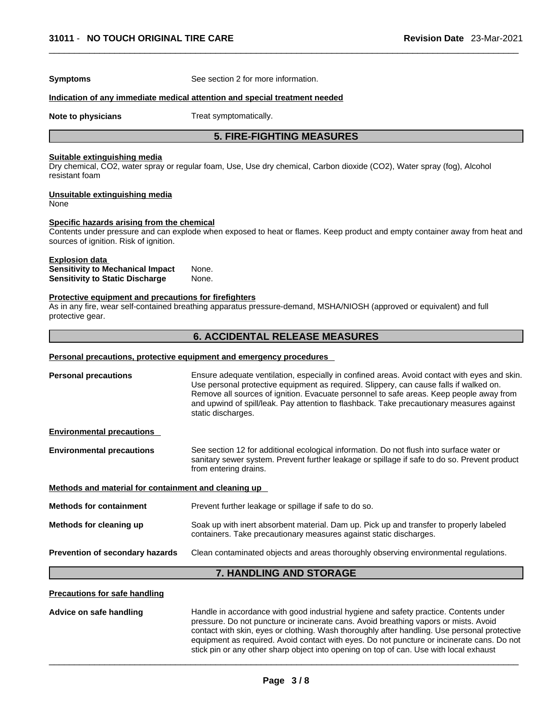**Symptoms** See section 2 for more information.

#### **Indication of any immediate medical attention and special treatment needed**

**Note to physicians** Treat symptomatically.

## **5. FIRE-FIGHTING MEASURES**

#### **Suitable extinguishing media**

Dry chemical, CO2, water spray or regular foam, Use, Use dry chemical, Carbon dioxide (CO2), Water spray (fog), Alcohol resistant foam

# **Unsuitable extinguishing media**

None

#### **Specific hazards arising from the chemical**

Contents under pressure and can explode when exposed to heat or flames. Keep product and empty container away from heat and sources of ignition. Risk of ignition.

# **Explosion data**

**Sensitivity to Mechanical Impact** None. **Sensitivity to Static Discharge** None.

#### **Protective equipment and precautions for firefighters**

As in any fire, wear self-contained breathing apparatus pressure-demand, MSHA/NIOSH (approved or equivalent) and full protective gear.

### **6. ACCIDENTAL RELEASE MEASURES**

#### **Personal precautions, protective equipment and emergency procedures**

| <b>Personal precautions</b>                          | Ensure adequate ventilation, especially in confined areas. Avoid contact with eyes and skin.<br>Use personal protective equipment as required. Slippery, can cause falls if walked on.<br>Remove all sources of ignition. Evacuate personnel to safe areas. Keep people away from<br>and upwind of spill/leak. Pay attention to flashback. Take precautionary measures against<br>static discharges. |  |
|------------------------------------------------------|------------------------------------------------------------------------------------------------------------------------------------------------------------------------------------------------------------------------------------------------------------------------------------------------------------------------------------------------------------------------------------------------------|--|
| <b>Environmental precautions</b>                     |                                                                                                                                                                                                                                                                                                                                                                                                      |  |
| <b>Environmental precautions</b>                     | See section 12 for additional ecological information. Do not flush into surface water or<br>sanitary sewer system. Prevent further leakage or spillage if safe to do so. Prevent product<br>from entering drains.                                                                                                                                                                                    |  |
| Methods and material for containment and cleaning up |                                                                                                                                                                                                                                                                                                                                                                                                      |  |
| <b>Methods for containment</b>                       | Prevent further leakage or spillage if safe to do so.                                                                                                                                                                                                                                                                                                                                                |  |
| Methods for cleaning up                              | Soak up with inert absorbent material. Dam up. Pick up and transfer to properly labeled<br>containers. Take precautionary measures against static discharges.                                                                                                                                                                                                                                        |  |
| Prevention of secondary hazards                      | Clean contaminated objects and areas thoroughly observing environmental regulations.                                                                                                                                                                                                                                                                                                                 |  |
|                                                      | 7. HANDLING AND STORAGE                                                                                                                                                                                                                                                                                                                                                                              |  |

#### **Precautions for safe handling**

**Advice on safe handling** Handle in accordance with good industrial hygiene and safety practice. Contents under pressure. Do not puncture or incinerate cans. Avoid breathing vapors or mists. Avoid contact with skin, eyes or clothing. Wash thoroughly after handling. Use personal protective equipment as required.Avoid contact with eyes. Do not puncture or incinerate cans. Do not stick pin or any other sharp object into opening on top of can. Use with local exhaust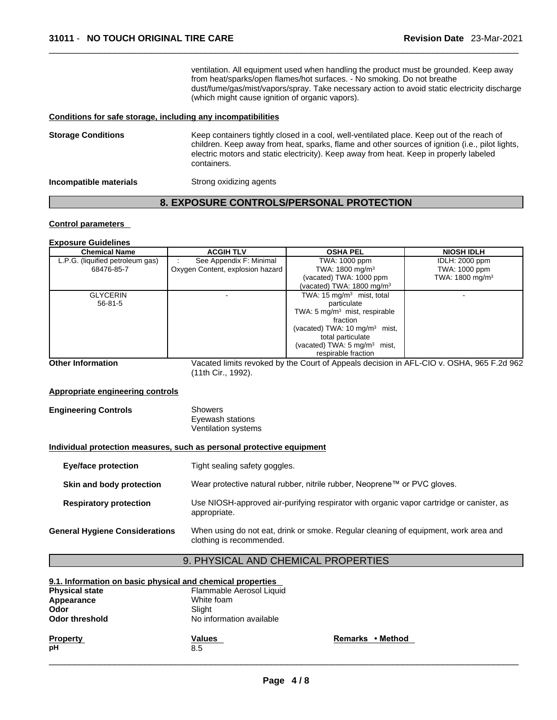ventilation. All equipment used when handling the product must be grounded. Keep away from heat/sparks/open flames/hot surfaces. - No smoking. Do not breathe dust/fume/gas/mist/vapors/spray. Take necessary action to avoid static electricity discharge (which might cause ignition of organic vapors).

#### **Conditions for safe storage, including any incompatibilities**

| <b>Storage Conditions</b> | Keep containers tightly closed in a cool, well-ventilated place. Keep out of the reach of<br>children. Keep away from heat, sparks, flame and other sources of ignition (i.e., pilot lights,<br>electric motors and static electricity). Keep away from heat. Keep in properly labeled<br>containers. |
|---------------------------|-------------------------------------------------------------------------------------------------------------------------------------------------------------------------------------------------------------------------------------------------------------------------------------------------------|
| Incompatible materials    | Strong oxidizing agents                                                                                                                                                                                                                                                                               |

# **8. EXPOSURE CONTROLS/PERSONAL PROTECTION**

### **Control parameters**

#### **Exposure Guidelines**

| <b>Chemical Name</b>             | <b>ACGIH TLV</b>                 | <b>OSHA PEL</b>                          | <b>NIOSH IDLH</b>           |
|----------------------------------|----------------------------------|------------------------------------------|-----------------------------|
| L.P.G. (liquified petroleum gas) | See Appendix F: Minimal          | TWA: 1000 ppm                            | <b>IDLH: 2000 ppm</b>       |
| 68476-85-7                       | Oxygen Content, explosion hazard | TWA: $1800 \text{ mg/m}^3$               | TWA: 1000 ppm               |
|                                  |                                  | (vacated) TWA: 1000 ppm                  | TWA: 1800 mg/m <sup>3</sup> |
|                                  |                                  | vacated) TWA: 1800 mg/m <sup>3</sup>     |                             |
| <b>GLYCERIN</b>                  |                                  | TWA: $15 \text{ mg/m}^3$ mist, total     |                             |
| $56 - 81 - 5$                    |                                  | particulate                              |                             |
|                                  |                                  | TWA: $5 \text{ mg/m}^3$ mist, respirable |                             |
|                                  |                                  | fraction                                 |                             |
|                                  |                                  | (vacated) TWA: $10 \text{ mg/m}^3$ mist, |                             |
|                                  |                                  | total particulate                        |                             |
|                                  |                                  | (vacated) TWA: $5 \text{ mg/m}^3$ mist,  |                             |
|                                  |                                  | respirable fraction                      |                             |

**Other Information** Vacated limits revoked by the Court of Appeals decision in AFL-CIO v.OSHA, 965 F.2d 962 (11th Cir., 1992).

#### **Appropriate engineering controls**

| <b>Engineering Controls</b> | Showers             |  |
|-----------------------------|---------------------|--|
|                             | Eyewash stations    |  |
|                             | Ventilation systems |  |

#### **Individual protection measures, such as personal protective equipment**

| <b>Eye/face protection</b>            | Tight sealing safety goggles.                                                                                   |
|---------------------------------------|-----------------------------------------------------------------------------------------------------------------|
| Skin and body protection              | Wear protective natural rubber, nitrile rubber, Neoprene™ or PVC gloves.                                        |
| <b>Respiratory protection</b>         | Use NIOSH-approved air-purifying respirator with organic vapor cartridge or canister, as<br>appropriate.        |
| <b>General Hygiene Considerations</b> | When using do not eat, drink or smoke. Regular cleaning of equipment, work area and<br>clothing is recommended. |

# 9. PHYSICAL AND CHEMICAL PROPERTIES

| 9.1. Information on basic physical and chemical properties<br><b>Physical state</b> | Flammable Aerosol Liquid |                  |  |
|-------------------------------------------------------------------------------------|--------------------------|------------------|--|
| Appearance                                                                          | White foam               |                  |  |
| Odor                                                                                | Slight                   |                  |  |
| Odor threshold                                                                      | No information available |                  |  |
| <b>Property</b><br>pН                                                               | <b>Values</b><br>8.5     | Remarks • Method |  |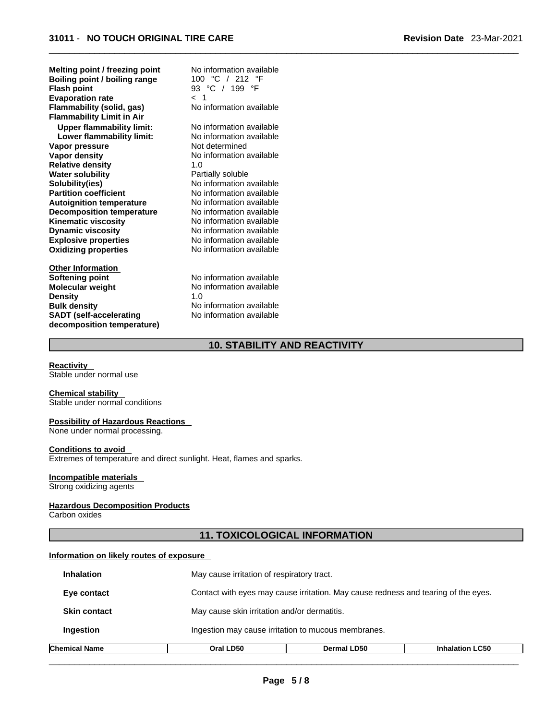| Melting point / freezing point   | No information available |  |
|----------------------------------|--------------------------|--|
| Boiling point / boiling range    | 100 °C / 212 °F          |  |
| <b>Flash point</b>               | 93 °C / 199 °F           |  |
| <b>Evaporation rate</b>          | 1 ج                      |  |
| Flammability (solid, gas)        | No information available |  |
| <b>Flammability Limit in Air</b> |                          |  |
| <b>Upper flammability limit:</b> | No information available |  |
| Lower flammability limit:        | No information available |  |
| Vapor pressure                   | Not determined           |  |
| <b>Vapor density</b>             | No information available |  |
| <b>Relative density</b>          | 1.0                      |  |
| <b>Water solubility</b>          | Partially soluble        |  |
| Solubility(ies)                  | No information available |  |
| <b>Partition coefficient</b>     | No information available |  |
| <b>Autoignition temperature</b>  | No information available |  |
| <b>Decomposition temperature</b> | No information available |  |
| <b>Kinematic viscosity</b>       | No information available |  |
| <b>Dynamic viscosity</b>         | No information available |  |
| <b>Explosive properties</b>      | No information available |  |
| <b>Oxidizing properties</b>      | No information available |  |
|                                  |                          |  |
| <b>Other Information</b>         |                          |  |
| Softening point                  | No information available |  |
| <b>Molecular weight</b>          | No information available |  |
| <b>Density</b>                   | 1.0                      |  |
| <b>Bulk density</b>              | No information available |  |
| <b>SADT</b> (self-accelerating   | No information available |  |
| decomposition temperature)       |                          |  |

# **10. STABILITY AND REACTIVITY**

#### **Reactivity**

Stable under normal use

#### **Chemical stability**

Stable under normal conditions

#### **Possibility of Hazardous Reactions**

None under normal processing.

#### **Conditions to avoid**

Extremes of temperature and direct sunlight. Heat, flames and sparks.

#### **Incompatible materials**

Strong oxidizing agents

#### **Hazardous Decomposition Products**

Carbon oxides

# **11. TOXICOLOGICAL INFORMATION**

### **Information on likely routes of exposure**

| Chemical Name       | Oral LD50                                           | <b>Dermal LD50</b>                                                                 | <b>Inhalation LC50</b> |  |
|---------------------|-----------------------------------------------------|------------------------------------------------------------------------------------|------------------------|--|
| Ingestion           | Ingestion may cause irritation to mucous membranes. |                                                                                    |                        |  |
| <b>Skin contact</b> |                                                     | May cause skin irritation and/or dermatitis.                                       |                        |  |
| Eye contact         |                                                     | Contact with eyes may cause irritation. May cause redness and tearing of the eyes. |                        |  |
| <b>Inhalation</b>   | May cause irritation of respiratory tract.          |                                                                                    |                        |  |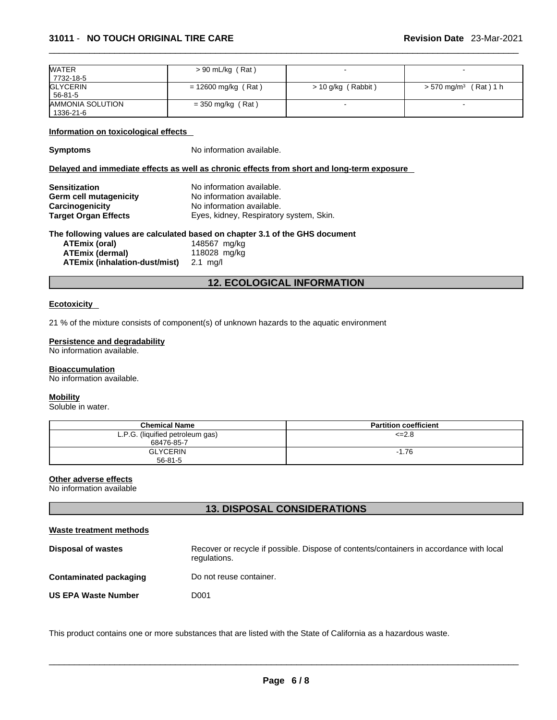| <b>WATER</b>            | $> 90$ mL/kg (Rat)    |                    |                                        |
|-------------------------|-----------------------|--------------------|----------------------------------------|
| 7732-18-5               |                       |                    |                                        |
| <b>GLYCERIN</b>         | $= 12600$ mg/kg (Rat) | > 10 g/kg (Rabbit) | (Rat) 1 h<br>$> 570$ mg/m <sup>3</sup> |
| 56-81-5                 |                       |                    |                                        |
| <b>AMMONIA SOLUTION</b> | $=$ 350 mg/kg (Rat)   |                    |                                        |
| 1336-21-6               |                       |                    |                                        |

#### **Information on toxicological effects**

**Symptoms** No information available.

#### **Delayed and immediate effects as well as chronic effects from short and long-term exposure**

| Sensitization          | No information available.               |
|------------------------|-----------------------------------------|
| Germ cell mutagenicity | No information available.               |
| Carcinogenicity        | No information available.               |
| Target Organ Effects   | Eyes, kidney, Respiratory system, Skin. |

#### **The following values are calculated based on chapter 3.1 of the GHS document**

| ATEmix (oral)                 | 148567 mg/kg |
|-------------------------------|--------------|
| ATEmix (dermal)               | 118028 mg/kg |
| ATEmix (inhalation-dust/mist) | 2.1 ma/l     |

# **12. ECOLOGICAL INFORMATION**

#### **Ecotoxicity**

21 % of the mixture consists of component(s) of unknown hazards to the aquatic environment

#### **Persistence and degradability**

No information available.

#### **Bioaccumulation**

No information available.

#### **Mobility**

Soluble in water.

| <b>Chemical Name</b>                           | <b>Partition coefficient</b> |
|------------------------------------------------|------------------------------|
| L.P.G. (liquified petroleum gas)<br>68476-85-7 | $\leq$ 2.8                   |
| <b>GLYCERIN</b><br>56-81-5                     | $-1.76$                      |

#### **Other adverse effects**

No information available

# **13. DISPOSAL CONSIDERATIONS**

#### **Waste treatment methods**

| Disposal of wastes         | Recover or recycle if possible. Dispose of contents/containers in accordance with local<br>regulations. |
|----------------------------|---------------------------------------------------------------------------------------------------------|
| Contaminated packaging     | Do not reuse container.                                                                                 |
| <b>US EPA Waste Number</b> | D001                                                                                                    |

This product contains one or more substances that are listed with the State of California as a hazardous waste.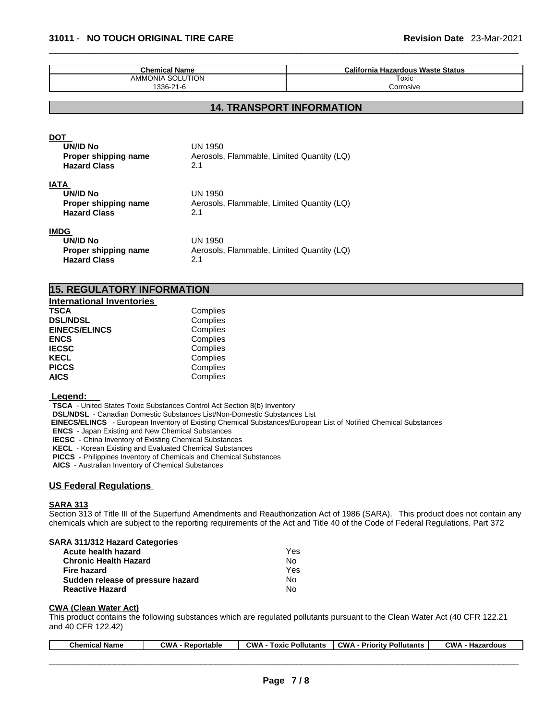| <b>Chemical Name</b> | California Hazardous Waste Status |
|----------------------|-----------------------------------|
| AMMONIA SOLUTION     | Toxic                             |
| 1336-21-6            | Corrosive                         |

# **14. TRANSPORT INFORMATION**

#### DOT

| <b>UN/ID No</b><br>Proper shipping name<br><b>Hazard Class</b>         | UN 1950<br>Aerosols, Flammable, Limited Quantity (LQ)<br>2.1 |  |
|------------------------------------------------------------------------|--------------------------------------------------------------|--|
| IATA<br><b>UN/ID No</b><br>Proper shipping name<br><b>Hazard Class</b> | UN 1950<br>Aerosols, Flammable, Limited Quantity (LQ)<br>2.1 |  |
| IMDG<br>UN/ID No<br>Proper shipping name<br><b>Hazard Class</b>        | UN 1950<br>Aerosols, Flammable, Limited Quantity (LQ)<br>2.1 |  |

# **15. REGULATORY INFORMATION**

| <b>International Inventories</b> |          |
|----------------------------------|----------|
| <b>TSCA</b>                      | Complies |
| <b>DSL/NDSL</b>                  | Complies |
| <b>EINECS/ELINCS</b>             | Complies |
| <b>ENCS</b>                      | Complies |
| <b>IECSC</b>                     | Complies |
| <b>KECL</b>                      | Complies |
| <b>PICCS</b>                     | Complies |
| <b>AICS</b>                      | Complies |

#### **Legend:**

**TSCA** - United States Toxic Substances Control Act Section 8(b) Inventory

**DSL/NDSL** - Canadian Domestic Substances List/Non-Domestic Substances List

 **EINECS/ELINCS** - European Inventory of Existing Chemical Substances/European List of Notified Chemical Substances

**ENCS** - Japan Existing and New Chemical Substances

**IECSC** - China Inventory of Existing Chemical Substances

**KECL** - Korean Existing and Evaluated Chemical Substances

**PICCS** - Philippines Inventory of Chemicals and Chemical Substances

**AICS** - Australian Inventory of Chemical Substances

#### **US Federal Regulations**

#### **SARA 313**

Section 313 of Title III of the Superfund Amendments and Reauthorization Act of 1986 (SARA). This product does not contain any chemicals which are subject to the reporting requirements of the Act and Title 40 of the Code of Federal Regulations, Part 372

#### **SARA 311/312 Hazard Categories**

| Acute health hazard               | Yes |
|-----------------------------------|-----|
| <b>Chronic Health Hazard</b>      | N٥  |
| Fire hazard                       | Yes |
| Sudden release of pressure hazard | N٥  |
| <b>Reactive Hazard</b>            | No  |

#### **CWA** (Clean Water Act)

This product contains the following substances which are regulated pollutants pursuant to the Clean Water Act (40 CFR 122.21 and 40 CFR 122.42)

| <b>Chemical Name</b> | $\sim$ M/A<br>- Reportable | <b>CWA</b><br>Pollutants<br>Гохіс | <b>CWA</b><br>- Prioritv Pollutants | <b>CWA</b><br>Hazardous |
|----------------------|----------------------------|-----------------------------------|-------------------------------------|-------------------------|
|                      |                            |                                   |                                     |                         |
|                      |                            |                                   |                                     |                         |